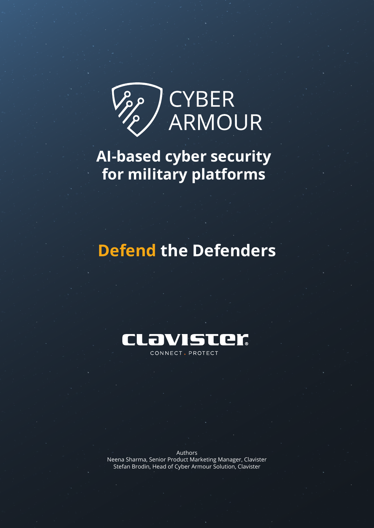

**AI-based cyber security for military platforms**

# **Defend the Defenders**



Authors Neena Sharma, Senior Product Marketing Manager, Clavister Stefan Brodin, Head of Cyber Armour Solution, Clavister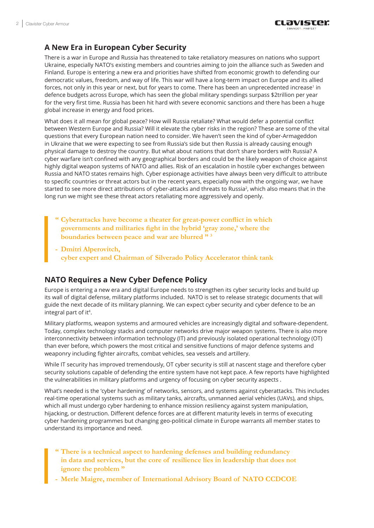# **A New Era in European Cyber Security**

There is a war in Europe and Russia has threatened to take retaliatory measures on nations who support Ukraine, especially NATO's existing members and countries aiming to join the alliance such as Sweden and Finland. Europe is entering a new era and priorities have shifted from economic growth to defending our democratic values, freedom, and way of life. This war will have a long-term impact on Europe and its allied forces, not only in this year or next, but for years to come. There has been an unprecedented increase<sup>1</sup> in defence budgets across Europe, which has seen the global military spendings surpass \$2trillion per year for the very first time. Russia has been hit hard with severe economic sanctions and there has been a huge global increase in energy and food prices.

What does it all mean for global peace? How will Russia retaliate? What would defer a potential conflict between Western Europe and Russia? Will it elevate the cyber risks in the region? These are some of the vital questions that every European nation need to consider. We haven't seen the kind of cyber-Armageddon in Ukraine that we were expecting to see from Russia's side but then Russia is already causing enough physical damage to destroy the country. But what about nations that don't share borders with Russia? A cyber warfare isn't confined with any geographical borders and could be the likely weapon of choice against highly digital weapon systems of NATO and allies. Risk of an escalation in hostile cyber exchanges between Russia and NATO states remains high. Cyber espionage activities have always been very difficult to attribute to specific countries or threat actors but in the recent years, especially now with the ongoing war, we have started to see more direct attributions of cyber-attacks and threats to Russia<sup>2</sup>, which also means that in the long run we might see these threat actors retaliating more aggressively and openly.

- **" Cyberattacks have become a theater for great-power conflict in which governments and militaries fight in the hybrid 'gray zone,' where the boundaries between peace and war are blurred " [3](#page-3-0)**
- **- Dmitri Alperovitch, cyber expert and Chairman of Silverado Policy Accelerator think tank**

## **NATO Requires a New Cyber Defence Policy**

Europe is entering a new era and digital Europe needs to strengthen its cyber security locks and build up its wall of digital defense, military platforms included. NATO is set to release strategic documents that will guide the next decade of its military planning. We can expect cyber security and cyber defence to be an integral part of it<sup>4</sup>.

Military platforms, weapon systems and armoured vehicles are increasingly digital and software-dependent. Today, complex technology stacks and computer networks drive major weapon systems. There is also more interconnectivity between information technology (IT) and previously isolated operational technology (OT) than ever before, which powers the most critical and sensitive functions of major defence systems and weaponry including fighter aircrafts, combat vehicles, sea vessels and artillery.

While IT security has improved tremendously, OT cyber security is still at nascent stage and therefore cyber security solutions capable of defending the entire system have not kept pace. A few reports have highlighted the vulnerabilities in military platforms and urgency of focusing on cyber security aspects .

What's needed is the 'cyber hardening' of networks, sensors, and systems against cyberattacks. This includes real-time operational systems such as military tanks, aircrafts, unmanned aerial vehicles (UAVs), and ships, which all must undergo cyber hardening to enhance mission resiliency against system manipulation, hijacking, or destruction. Different defence forces are at different maturity levels in terms of executing cyber hardening programmes but changing geo-political climate in Europe warrants all member states to understand its importance and need.

- **" There is a technical aspect to hardening defenses and building redundancy in data and services, but the core of resilience lies in leadership that does not ignore the problem "**
- **- Merle Maigre, member of International Advisory Board of NATO CCDCOE**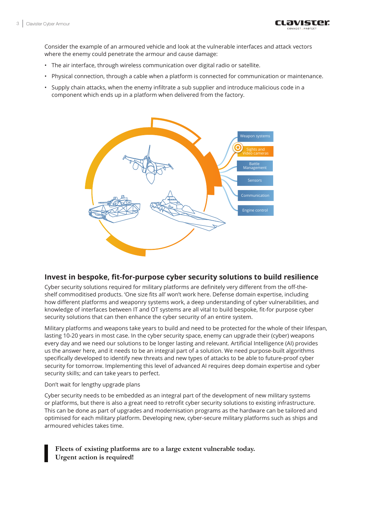

Consider the example of an armoured vehicle and look at the vulnerable interfaces and attack vectors where the enemy could penetrate the armour and cause damage:

- The air interface, through wireless communication over digital radio or satellite.
- Physical connection, through a cable when a platform is connected for communication or maintenance.
- Supply chain attacks, when the enemy infiltrate a sub supplier and introduce malicious code in a component which ends up in a platform when delivered from the factory.



### **Invest in bespoke, fit-for-purpose cyber security solutions to build resilience**

Cyber security solutions required for military platforms are definitely very different from the off-theshelf commoditised products. 'One size fits all' won't work here. Defense domain expertise, including how different platforms and weaponry systems work, a deep understanding of cyber vulnerabilities, and knowledge of interfaces between IT and OT systems are all vital to build bespoke, fit-for purpose cyber security solutions that can then enhance the cyber security of an entire system.

Military platforms and weapons take years to build and need to be protected for the whole of their lifespan, lasting 10-20 years in most case. In the cyber security space, enemy can upgrade their (cyber) weapons every day and we need our solutions to be longer lasting and relevant. Artificial Intelligence (AI) provides us the answer here, and it needs to be an integral part of a solution. We need purpose-built algorithms specifically developed to identify new threats and new types of attacks to be able to future-proof cyber security for tomorrow. Implementing this level of advanced AI requires deep domain expertise and cyber security skills; and can take years to perfect.

#### Don't wait for lengthy upgrade plans

Cyber security needs to be embedded as an integral part of the development of new military systems or platforms, but there is also a great need to retrofit cyber security solutions to existing infrastructure. This can be done as part of upgrades and modernisation programs as the hardware can be tailored and optimised for each military platform. Developing new, cyber-secure military platforms such as ships and armoured vehicles takes time.

## **Fleets of existing platforms are to a large extent vulnerable today. Urgent action is required!**